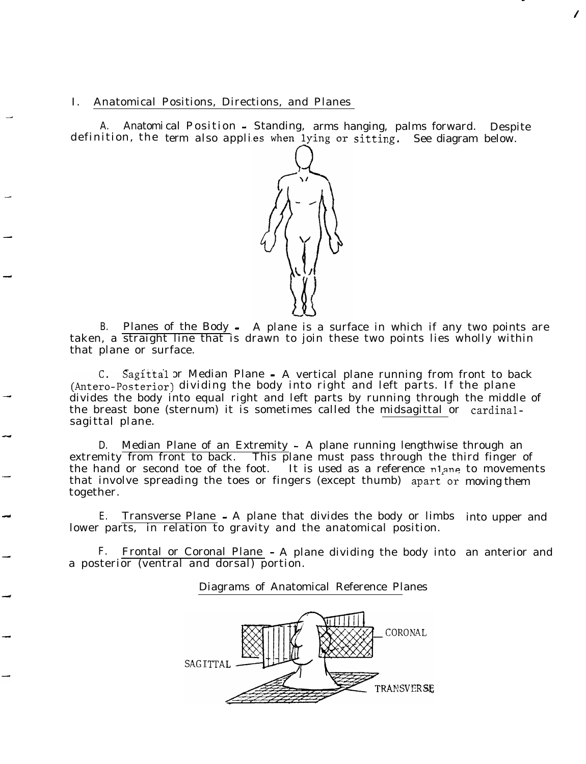## I. Anatomical Positions, Directions, and Planes

-

-

-

-

A. Anatomi cal Position - Standing, arms hanging, palms forward. Despite definition, the term also applies when lying or sitting. See diagram below.

-

/



B. Planes of the Body - A plane is a surface in which if any two points are taken, a straight line that is drawn to join these two points lies wholly within that plane or surface.

C. Sagittal or Median Plane - A vertical plane running from front to back (Antero-Posterior) dividing the body into right and left parts. If the plane divides the body into equal right and left parts by running through the middle of the breast bone (sternum) it is sometimes called the midsagittal or cardinalsagittal plane.

D. Median Plane of an Extremity - A plane running lengthwise through an extremity from front to back. This plane must pass through the third finger of the hand or second toe of the foot. It is used as a reference nlane to movements that involve spreading the toes or fingers (except thumb) apart or moving them together.

E. Transverse Plane - A plane that divides the body or limbs into upper and lower parts, in relation to gravity and the anatomical position.

F. Frontal or Coronal Plane - A plane dividing the body into an anterior anda posterior (ventral and dorsal) portion.

Diagrams of Anatomical Reference Planes

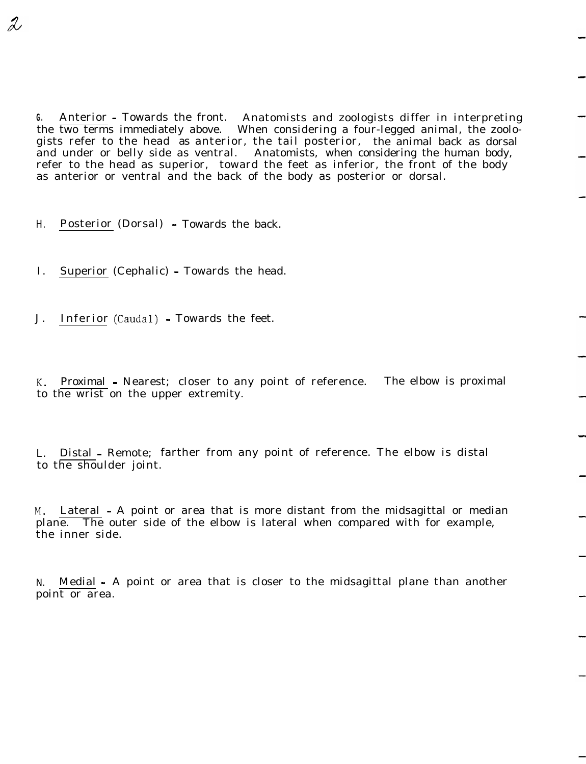**G.** Anterior - Towards the front. Anatomists and zoologists differ in interpreting the two terms immediately above. When considering a four-legged animal, the zoologists refer to the head as anterior, the tail posterior, the animal back as dorsal and under or belly side as ventral. Anatomists, when considering the human body, refer to the head as superior, toward the feet as inferior, the front of the body as anterior or ventral and the back of the body as posterior or dorsal.

H. Posterior (Dorsal) - Towards the back.

2

I. Superior (Cephalic) - Towards the head.

J. Inferior (Caudal) - Towards the feet.

K. Proximal - Nearest; closer to any point of reference. The elbow is proximal to the wrist on the upper extremity.

L. Distal - Remote; farther from any point of reference. The elbow is distal to the shoulder joint.

M. Lateral - A point or area that is more distant from the midsagittal or median plane. The outer side of the elbow is lateral when compared with for example, the inner side.

N. Medial - A point or area that is closer to the midsagittal plane than another point or area.